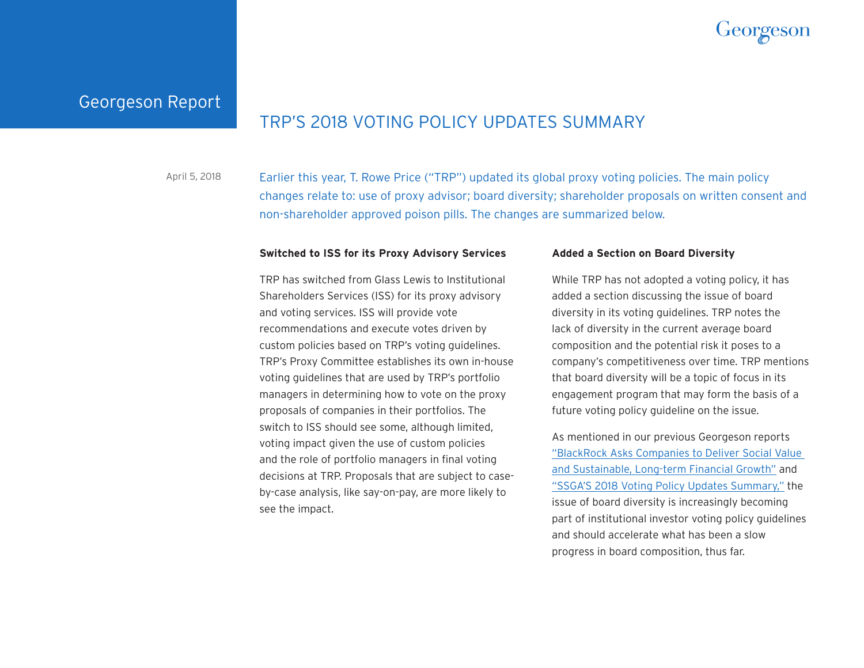

# Georgeson Report

# TRP'S 2018 VOTING POLICY UPDATES SUMMARY

Earlier this year, T. Rowe Price ("TRP") updated its global proxy voting policies. The main policy changes relate to: use of proxy advisor; board diversity; shareholder proposals on written consent and non-shareholder approved poison pills. The changes are summarized below. April 5, 2018

### **Switched to ISS for its Proxy Advisory Services**

TRP has switched from Glass Lewis to Institutional Shareholders Services (ISS) for its proxy advisory and voting services. ISS will provide vote recommendations and execute votes driven by custom policies based on TRP's voting guidelines. TRP's Proxy Committee establishes its own in-house voting guidelines that are used by TRP's portfolio managers in determining how to vote on the proxy proposals of companies in their portfolios. The switch to ISS should see some, although limited, voting impact given the use of custom policies and the role of portfolio managers in final voting decisions at TRP. Proposals that are subject to caseby-case analysis, like say-on-pay, are more likely to see the impact.

### **Added a Section on Board Diversity**

While TRP has not adopted a voting policy, it has added a section discussing the issue of board diversity in its voting guidelines. TRP notes the lack of diversity in the current average board composition and the potential risk it poses to a company's competitiveness over time. TRP mentions that board diversity will be a topic of focus in its engagement program that may form the basis of a future voting policy guideline on the issue.

As mentioned in our previous Georgeson reports ["BlackRock Asks Companies to Deliver Social Value](http://www.georgeson.com/News/Georgeson-Report-022218.pdf)  [and Sustainable, Long-term Financial Growth"](http://www.georgeson.com/News/Georgeson-Report-022218.pdf) and ["SSGA'S 2018 Voting Policy Updates Summary,"](http://www.georgeson.com/News/Georgeson-Report-032218.pdf) the issue of board diversity is increasingly becoming part of institutional investor voting policy guidelines and should accelerate what has been a slow progress in board composition, thus far.